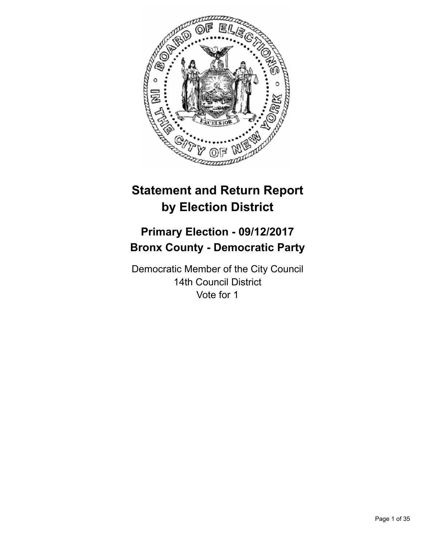

# **Statement and Return Report by Election District**

# **Primary Election - 09/12/2017 Bronx County - Democratic Party**

Democratic Member of the City Council 14th Council District Vote for 1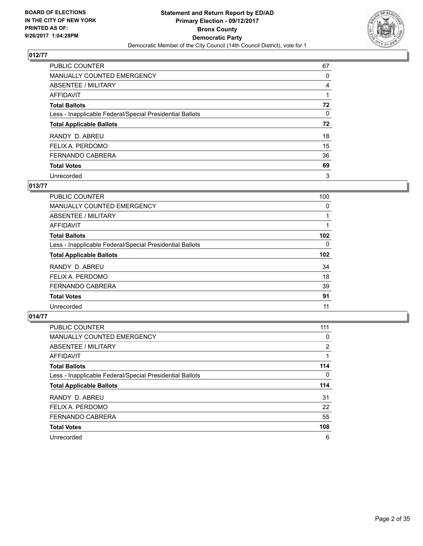

| PUBLIC COUNTER                                           | 67 |
|----------------------------------------------------------|----|
| MANUALLY COUNTED EMERGENCY                               | 0  |
| ABSENTEE / MILITARY                                      | 4  |
| <b>AFFIDAVIT</b>                                         |    |
| <b>Total Ballots</b>                                     | 72 |
| Less - Inapplicable Federal/Special Presidential Ballots | 0  |
| <b>Total Applicable Ballots</b>                          | 72 |
| RANDY D. ABREU                                           | 18 |
| FELIX A. PERDOMO                                         | 15 |
| <b>FERNANDO CABRERA</b>                                  | 36 |
| <b>Total Votes</b>                                       | 69 |
| Unrecorded                                               | 3  |

#### **013/77**

| <b>PUBLIC COUNTER</b>                                    | 100 |
|----------------------------------------------------------|-----|
| <b>MANUALLY COUNTED EMERGENCY</b>                        | 0   |
| ABSENTEE / MILITARY                                      |     |
| AFFIDAVIT                                                |     |
| <b>Total Ballots</b>                                     | 102 |
| Less - Inapplicable Federal/Special Presidential Ballots | 0   |
| <b>Total Applicable Ballots</b>                          | 102 |
| RANDY D. ABREU                                           | 34  |
| FELIX A. PERDOMO                                         | 18  |
| <b>FERNANDO CABRERA</b>                                  | 39  |
| <b>Total Votes</b>                                       | 91  |
| Unrecorded                                               | 11  |

| <b>PUBLIC COUNTER</b>                                    | 111            |
|----------------------------------------------------------|----------------|
| <b>MANUALLY COUNTED EMERGENCY</b>                        | 0              |
| ABSENTEE / MILITARY                                      | $\overline{2}$ |
| AFFIDAVIT                                                |                |
| <b>Total Ballots</b>                                     | 114            |
| Less - Inapplicable Federal/Special Presidential Ballots | 0              |
| <b>Total Applicable Ballots</b>                          | 114            |
| RANDY D. ABREU                                           | 31             |
| FELIX A. PERDOMO                                         | 22             |
| <b>FERNANDO CABRERA</b>                                  | 55             |
| <b>Total Votes</b>                                       | 108            |
| Unrecorded                                               | 6              |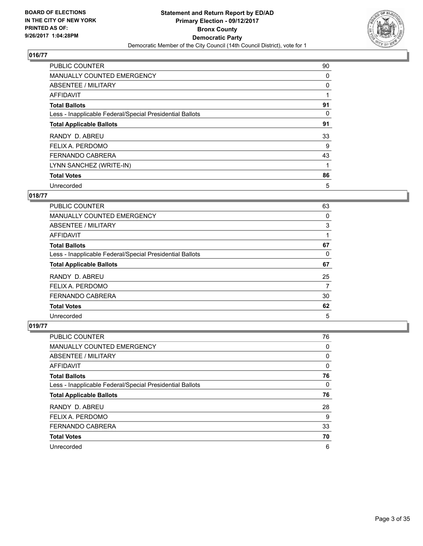

| <b>PUBLIC COUNTER</b>                                    | 90 |
|----------------------------------------------------------|----|
| <b>MANUALLY COUNTED EMERGENCY</b>                        | 0  |
| ABSENTEE / MILITARY                                      | 0  |
| AFFIDAVIT                                                |    |
| <b>Total Ballots</b>                                     | 91 |
| Less - Inapplicable Federal/Special Presidential Ballots | 0  |
| <b>Total Applicable Ballots</b>                          | 91 |
| RANDY D. ABREU                                           | 33 |
| FELIX A. PERDOMO                                         | 9  |
| <b>FERNANDO CABRERA</b>                                  | 43 |
| LYNN SANCHEZ (WRITE-IN)                                  |    |
| <b>Total Votes</b>                                       | 86 |
| Unrecorded                                               | 5  |

# **018/77**

| <b>PUBLIC COUNTER</b>                                    | 63 |
|----------------------------------------------------------|----|
| <b>MANUALLY COUNTED EMERGENCY</b>                        | 0  |
| ABSENTEE / MILITARY                                      | 3  |
| AFFIDAVIT                                                |    |
| <b>Total Ballots</b>                                     | 67 |
| Less - Inapplicable Federal/Special Presidential Ballots | 0  |
| <b>Total Applicable Ballots</b>                          | 67 |
| RANDY D. ABREU                                           | 25 |
| FELIX A. PERDOMO                                         | 7  |
| <b>FERNANDO CABRERA</b>                                  | 30 |
|                                                          |    |
| <b>Total Votes</b>                                       | 62 |

| <b>PUBLIC COUNTER</b>                                    | 76 |
|----------------------------------------------------------|----|
| <b>MANUALLY COUNTED EMERGENCY</b>                        | 0  |
| ABSENTEE / MILITARY                                      | 0  |
| AFFIDAVIT                                                | 0  |
| <b>Total Ballots</b>                                     | 76 |
| Less - Inapplicable Federal/Special Presidential Ballots | 0  |
| <b>Total Applicable Ballots</b>                          | 76 |
| RANDY D. ABREU                                           | 28 |
| FELIX A. PERDOMO                                         | 9  |
| FERNANDO CABRERA                                         | 33 |
| <b>Total Votes</b>                                       | 70 |
| Unrecorded                                               | 6  |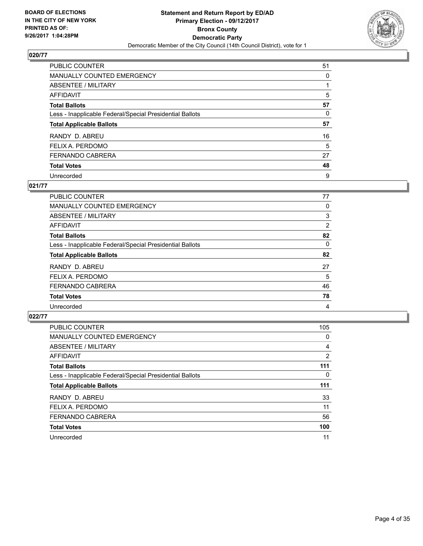

| <b>PUBLIC COUNTER</b>                                    | 51 |
|----------------------------------------------------------|----|
| <b>MANUALLY COUNTED EMERGENCY</b>                        | 0  |
| ABSENTEE / MILITARY                                      |    |
| AFFIDAVIT                                                | 5  |
| <b>Total Ballots</b>                                     | 57 |
| Less - Inapplicable Federal/Special Presidential Ballots | 0  |
| <b>Total Applicable Ballots</b>                          | 57 |
| RANDY D. ABREU                                           | 16 |
| FELIX A. PERDOMO                                         | 5  |
| FERNANDO CABRERA                                         | 27 |
| <b>Total Votes</b>                                       | 48 |
| Unrecorded                                               | 9  |

#### **021/77**

| PUBLIC COUNTER                                           | 77 |
|----------------------------------------------------------|----|
| <b>MANUALLY COUNTED EMERGENCY</b>                        | 0  |
| ABSENTEE / MILITARY                                      | 3  |
| <b>AFFIDAVIT</b>                                         | 2  |
| <b>Total Ballots</b>                                     | 82 |
| Less - Inapplicable Federal/Special Presidential Ballots | 0  |
| <b>Total Applicable Ballots</b>                          | 82 |
| RANDY D. ABREU                                           | 27 |
| FELIX A. PERDOMO                                         | 5  |
| <b>FERNANDO CABRERA</b>                                  | 46 |
| <b>Total Votes</b>                                       | 78 |
| Unrecorded                                               | 4  |

| <b>PUBLIC COUNTER</b>                                    | 105            |
|----------------------------------------------------------|----------------|
| <b>MANUALLY COUNTED EMERGENCY</b>                        | 0              |
| ABSENTEE / MILITARY                                      | 4              |
| AFFIDAVIT                                                | $\overline{2}$ |
| <b>Total Ballots</b>                                     | 111            |
| Less - Inapplicable Federal/Special Presidential Ballots | 0              |
| <b>Total Applicable Ballots</b>                          | 111            |
| RANDY D. ABREU                                           | 33             |
| FELIX A. PERDOMO                                         | 11             |
| <b>FERNANDO CABRERA</b>                                  | 56             |
| <b>Total Votes</b>                                       | 100            |
| Unrecorded                                               | 11             |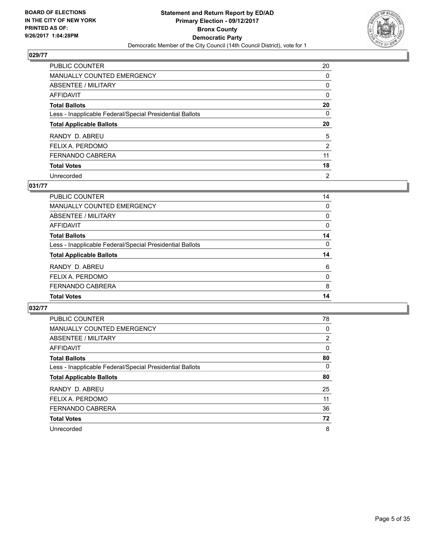

| <b>PUBLIC COUNTER</b>                                    | 20             |
|----------------------------------------------------------|----------------|
| MANUALLY COUNTED EMERGENCY                               | 0              |
| ABSENTEE / MILITARY                                      | 0              |
| AFFIDAVIT                                                | 0              |
| <b>Total Ballots</b>                                     | 20             |
| Less - Inapplicable Federal/Special Presidential Ballots | 0              |
| <b>Total Applicable Ballots</b>                          | 20             |
| RANDY D. ABREU                                           | 5              |
| FELIX A. PERDOMO                                         | $\overline{2}$ |
| FERNANDO CABRERA                                         | 11             |
| <b>Total Votes</b>                                       | 18             |
| Unrecorded                                               | $\overline{2}$ |

#### **031/77**

| <b>PUBLIC COUNTER</b>                                    | 14 |
|----------------------------------------------------------|----|
| MANUALLY COUNTED EMERGENCY                               | 0  |
| ABSENTEE / MILITARY                                      | 0  |
| AFFIDAVIT                                                | 0  |
| <b>Total Ballots</b>                                     | 14 |
| Less - Inapplicable Federal/Special Presidential Ballots | 0  |
| <b>Total Applicable Ballots</b>                          | 14 |
| RANDY D. ABREU                                           | 6  |
| FELIX A. PERDOMO                                         | 0  |
| <b>FERNANDO CABRERA</b>                                  | 8  |
| <b>Total Votes</b>                                       | 14 |

| <b>PUBLIC COUNTER</b>                                    | 78       |
|----------------------------------------------------------|----------|
| <b>MANUALLY COUNTED EMERGENCY</b>                        | $\Omega$ |
| ABSENTEE / MILITARY                                      | 2        |
| <b>AFFIDAVIT</b>                                         | $\Omega$ |
| <b>Total Ballots</b>                                     | 80       |
| Less - Inapplicable Federal/Special Presidential Ballots | 0        |
| <b>Total Applicable Ballots</b>                          | 80       |
| RANDY D. ABREU                                           | 25       |
| FELIX A. PERDOMO                                         | 11       |
| FERNANDO CABRERA                                         | 36       |
| <b>Total Votes</b>                                       | 72       |
| Unrecorded                                               | 8        |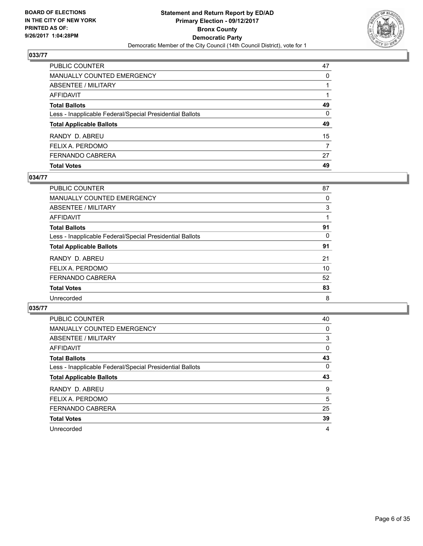

| <b>PUBLIC COUNTER</b>                                    | 47       |
|----------------------------------------------------------|----------|
| <b>MANUALLY COUNTED EMERGENCY</b>                        | 0        |
| <b>ABSENTEE / MILITARY</b>                               |          |
| <b>AFFIDAVIT</b>                                         |          |
| <b>Total Ballots</b>                                     | 49       |
| Less - Inapplicable Federal/Special Presidential Ballots | $\Omega$ |
| <b>Total Applicable Ballots</b>                          | 49       |
| RANDY D. ABREU                                           | 15       |
| FELIX A. PERDOMO                                         | 7        |
| FERNANDO CABRERA                                         | 27       |
| <b>Total Votes</b>                                       | 49       |

## **034/77**

| PUBLIC COUNTER                                           | 87 |
|----------------------------------------------------------|----|
| MANUALLY COUNTED EMERGENCY                               | 0  |
| ABSENTEE / MILITARY                                      | 3  |
| AFFIDAVIT                                                |    |
| <b>Total Ballots</b>                                     | 91 |
| Less - Inapplicable Federal/Special Presidential Ballots | 0  |
| <b>Total Applicable Ballots</b>                          | 91 |
| RANDY D. ABREU                                           | 21 |
| FELIX A. PERDOMO                                         | 10 |
| FERNANDO CABRERA                                         | 52 |
| <b>Total Votes</b>                                       | 83 |
| Unrecorded                                               | 8  |
|                                                          |    |

| <b>PUBLIC COUNTER</b>                                    | 40       |
|----------------------------------------------------------|----------|
| <b>MANUALLY COUNTED EMERGENCY</b>                        | 0        |
| ABSENTEE / MILITARY                                      | 3        |
| <b>AFFIDAVIT</b>                                         | 0        |
| <b>Total Ballots</b>                                     | 43       |
| Less - Inapplicable Federal/Special Presidential Ballots | $\Omega$ |
| <b>Total Applicable Ballots</b>                          | 43       |
| RANDY D. ABREU                                           | 9        |
| FELIX A. PERDOMO                                         | 5        |
|                                                          |          |
| FERNANDO CABRERA                                         | 25       |
| <b>Total Votes</b>                                       | 39       |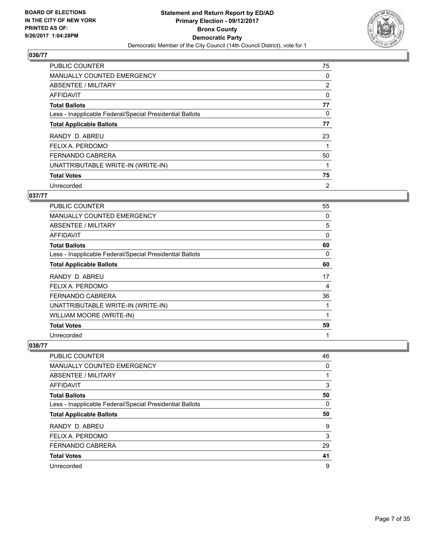

| <b>PUBLIC COUNTER</b>                                    | 75             |
|----------------------------------------------------------|----------------|
| MANUALLY COUNTED EMERGENCY                               | 0              |
| ABSENTEE / MILITARY                                      | $\overline{2}$ |
| AFFIDAVIT                                                | 0              |
| <b>Total Ballots</b>                                     | 77             |
| Less - Inapplicable Federal/Special Presidential Ballots | 0              |
| <b>Total Applicable Ballots</b>                          | 77             |
| RANDY D. ABREU                                           | 23             |
| FELIX A. PERDOMO                                         |                |
| <b>FERNANDO CABRERA</b>                                  | 50             |
| UNATTRIBUTABLE WRITE-IN (WRITE-IN)                       |                |
| <b>Total Votes</b>                                       | 75             |
| Unrecorded                                               | 2              |

# **037/77**

| PUBLIC COUNTER                                           | 55 |
|----------------------------------------------------------|----|
| <b>MANUALLY COUNTED EMERGENCY</b>                        | 0  |
| ABSENTEE / MILITARY                                      | 5  |
| AFFIDAVIT                                                | 0  |
| <b>Total Ballots</b>                                     | 60 |
| Less - Inapplicable Federal/Special Presidential Ballots | 0  |
| <b>Total Applicable Ballots</b>                          | 60 |
| RANDY D. ABREU                                           | 17 |
| FELIX A. PERDOMO                                         | 4  |
| <b>FERNANDO CABRERA</b>                                  | 36 |
| UNATTRIBUTABLE WRITE-IN (WRITE-IN)                       | 1  |
| WILLIAM MOORE (WRITE-IN)                                 | 1  |
| <b>Total Votes</b>                                       | 59 |
| Unrecorded                                               | 1  |

| <b>PUBLIC COUNTER</b>                                    | 46 |
|----------------------------------------------------------|----|
| <b>MANUALLY COUNTED EMERGENCY</b>                        | 0  |
| ABSENTEE / MILITARY                                      |    |
| AFFIDAVIT                                                | 3  |
| <b>Total Ballots</b>                                     | 50 |
| Less - Inapplicable Federal/Special Presidential Ballots | 0  |
| <b>Total Applicable Ballots</b>                          | 50 |
| RANDY D. ABREU                                           | 9  |
| FELIX A. PERDOMO                                         | 3  |
| FERNANDO CABRERA                                         | 29 |
| <b>Total Votes</b>                                       | 41 |
|                                                          |    |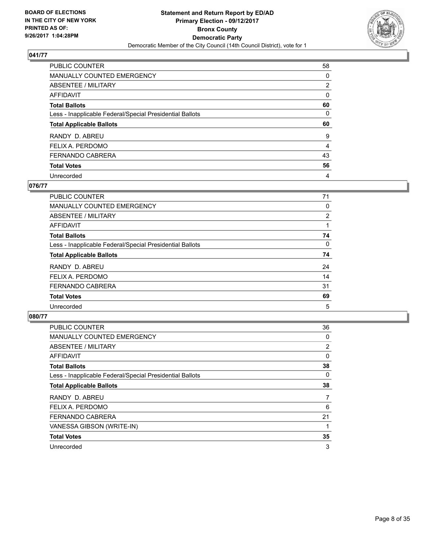

| <b>PUBLIC COUNTER</b>                                    | 58             |
|----------------------------------------------------------|----------------|
| <b>MANUALLY COUNTED EMERGENCY</b>                        | 0              |
| ABSENTEE / MILITARY                                      | $\overline{2}$ |
| AFFIDAVIT                                                | 0              |
| <b>Total Ballots</b>                                     | 60             |
| Less - Inapplicable Federal/Special Presidential Ballots | 0              |
| <b>Total Applicable Ballots</b>                          | 60             |
|                                                          |                |
| RANDY D. ABREU                                           | 9              |
| FELIX A. PERDOMO                                         | 4              |
| FERNANDO CABRERA                                         | 43             |
| <b>Total Votes</b>                                       | 56             |

#### **076/77**

| PUBLIC COUNTER                                           | 71       |
|----------------------------------------------------------|----------|
| <b>MANUALLY COUNTED EMERGENCY</b>                        | 0        |
| ABSENTEE / MILITARY                                      | 2        |
| AFFIDAVIT                                                |          |
| <b>Total Ballots</b>                                     | 74       |
| Less - Inapplicable Federal/Special Presidential Ballots | $\Omega$ |
| <b>Total Applicable Ballots</b>                          | 74       |
| RANDY D. ABREU                                           | 24       |
| FELIX A. PERDOMO                                         | 14       |
| <b>FERNANDO CABRERA</b>                                  | 31       |
| <b>Total Votes</b>                                       | 69       |
| Unrecorded                                               | 5        |

| <b>PUBLIC COUNTER</b>                                    | 36             |
|----------------------------------------------------------|----------------|
| MANUALLY COUNTED EMERGENCY                               | 0              |
| ABSENTEE / MILITARY                                      | $\overline{2}$ |
| AFFIDAVIT                                                | 0              |
| <b>Total Ballots</b>                                     | 38             |
| Less - Inapplicable Federal/Special Presidential Ballots | 0              |
| <b>Total Applicable Ballots</b>                          | 38             |
| RANDY D. ABREU                                           | $\overline{7}$ |
| FELIX A. PERDOMO                                         | 6              |
| <b>FERNANDO CABRERA</b>                                  | 21             |
| VANESSA GIBSON (WRITE-IN)                                |                |
| <b>Total Votes</b>                                       | 35             |
| Unrecorded                                               | 3              |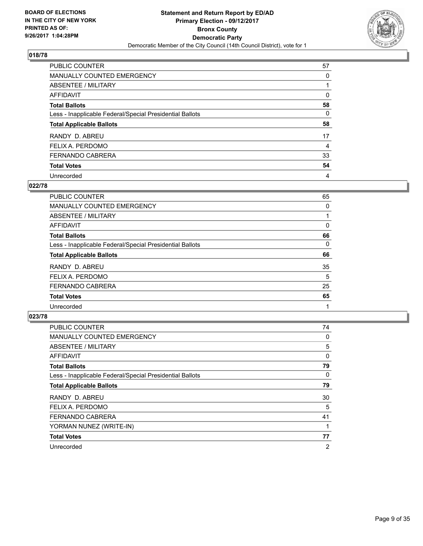

| PUBLIC COUNTER                                           | 57 |
|----------------------------------------------------------|----|
| <b>MANUALLY COUNTED EMERGENCY</b>                        | 0  |
| ABSENTEE / MILITARY                                      |    |
| AFFIDAVIT                                                | 0  |
| <b>Total Ballots</b>                                     | 58 |
| Less - Inapplicable Federal/Special Presidential Ballots | 0  |
| <b>Total Applicable Ballots</b>                          | 58 |
| RANDY D. ABREU                                           | 17 |
| FELIX A. PERDOMO                                         | 4  |
| <b>FERNANDO CABRERA</b>                                  | 33 |
| <b>Total Votes</b>                                       | 54 |
| Unrecorded                                               | 4  |

#### **022/78**

| <b>PUBLIC COUNTER</b>                                    | 65 |
|----------------------------------------------------------|----|
| <b>MANUALLY COUNTED EMERGENCY</b>                        | 0  |
| ABSENTEE / MILITARY                                      |    |
| AFFIDAVIT                                                | 0  |
| <b>Total Ballots</b>                                     | 66 |
| Less - Inapplicable Federal/Special Presidential Ballots | 0  |
| <b>Total Applicable Ballots</b>                          | 66 |
| RANDY D. ABREU                                           | 35 |
| FELIX A. PERDOMO                                         | 5  |
| FERNANDO CABRERA                                         | 25 |
| <b>Total Votes</b>                                       | 65 |
| Unrecorded                                               |    |

| <b>PUBLIC COUNTER</b>                                    | 74             |
|----------------------------------------------------------|----------------|
| MANUALLY COUNTED EMERGENCY                               | 0              |
| ABSENTEE / MILITARY                                      | 5              |
| <b>AFFIDAVIT</b>                                         | 0              |
| <b>Total Ballots</b>                                     | 79             |
| Less - Inapplicable Federal/Special Presidential Ballots | 0              |
| <b>Total Applicable Ballots</b>                          | 79             |
| RANDY D. ABREU                                           | 30             |
| FELIX A. PERDOMO                                         | 5              |
| <b>FERNANDO CABRERA</b>                                  | 41             |
| YORMAN NUNEZ (WRITE-IN)                                  |                |
| <b>Total Votes</b>                                       | 77             |
| Unrecorded                                               | $\overline{2}$ |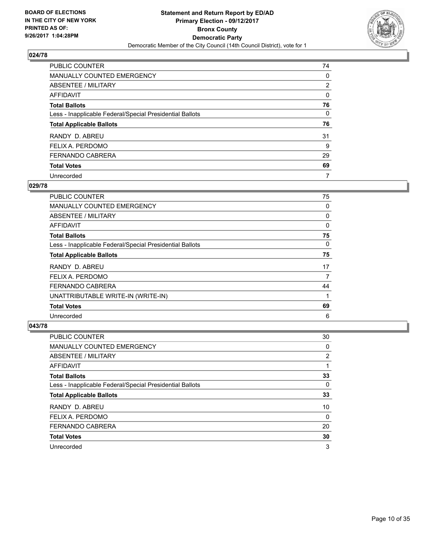

| <b>PUBLIC COUNTER</b>                                    | 74 |
|----------------------------------------------------------|----|
| <b>MANUALLY COUNTED EMERGENCY</b>                        | 0  |
| ABSENTEE / MILITARY                                      | 2  |
| AFFIDAVIT                                                | 0  |
| <b>Total Ballots</b>                                     | 76 |
| Less - Inapplicable Federal/Special Presidential Ballots | 0  |
| <b>Total Applicable Ballots</b>                          | 76 |
| RANDY D. ABREU                                           | 31 |
| FELIX A. PERDOMO                                         | 9  |
| <b>FERNANDO CABRERA</b>                                  | 29 |
| <b>Total Votes</b>                                       | 69 |
| Unrecorded                                               | 7  |

#### **029/78**

| <b>PUBLIC COUNTER</b>                                    | 75 |
|----------------------------------------------------------|----|
| <b>MANUALLY COUNTED EMERGENCY</b>                        | 0  |
| ABSENTEE / MILITARY                                      | 0  |
| AFFIDAVIT                                                | 0  |
| <b>Total Ballots</b>                                     | 75 |
| Less - Inapplicable Federal/Special Presidential Ballots | 0  |
| <b>Total Applicable Ballots</b>                          | 75 |
| RANDY D. ABREU                                           | 17 |
| FELIX A. PERDOMO                                         | 7  |
| <b>FERNANDO CABRERA</b>                                  | 44 |
| UNATTRIBUTABLE WRITE-IN (WRITE-IN)                       | 1  |
| <b>Total Votes</b>                                       | 69 |
| Unrecorded                                               | 6  |

| <b>PUBLIC COUNTER</b>                                    | 30                    |
|----------------------------------------------------------|-----------------------|
| <b>MANUALLY COUNTED EMERGENCY</b>                        | 0                     |
| ABSENTEE / MILITARY                                      | $\mathbf{2}^{\prime}$ |
| AFFIDAVIT                                                |                       |
| <b>Total Ballots</b>                                     | 33                    |
| Less - Inapplicable Federal/Special Presidential Ballots | 0                     |
| <b>Total Applicable Ballots</b>                          | 33                    |
| RANDY D. ABREU                                           | 10                    |
| FELIX A. PERDOMO                                         | 0                     |
| <b>FERNANDO CABRERA</b>                                  | 20                    |
| <b>Total Votes</b>                                       | 30                    |
| Unrecorded                                               | 3                     |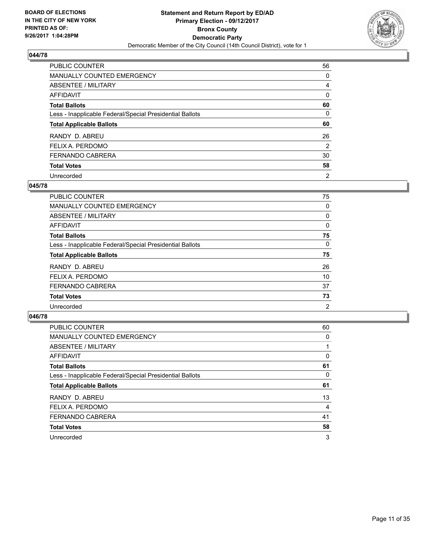

| <b>PUBLIC COUNTER</b>                                    | 56             |
|----------------------------------------------------------|----------------|
| <b>MANUALLY COUNTED EMERGENCY</b>                        | 0              |
| ABSENTEE / MILITARY                                      | 4              |
| AFFIDAVIT                                                | 0              |
| <b>Total Ballots</b>                                     | 60             |
| Less - Inapplicable Federal/Special Presidential Ballots | 0              |
| <b>Total Applicable Ballots</b>                          | 60             |
| RANDY D. ABREU                                           | 26             |
| FELIX A. PERDOMO                                         | 2              |
| <b>FERNANDO CABRERA</b>                                  | 30             |
| <b>Total Votes</b>                                       | 58             |
| Unrecorded                                               | $\overline{2}$ |

#### **045/78**

| <b>PUBLIC COUNTER</b>                                    | 75             |
|----------------------------------------------------------|----------------|
| MANUALLY COUNTED EMERGENCY                               | 0              |
| ABSENTEE / MILITARY                                      | 0              |
| <b>AFFIDAVIT</b>                                         | 0              |
| <b>Total Ballots</b>                                     | 75             |
| Less - Inapplicable Federal/Special Presidential Ballots | 0              |
| <b>Total Applicable Ballots</b>                          | 75             |
| RANDY D. ABREU                                           | 26             |
| FELIX A. PERDOMO                                         | 10             |
| <b>FERNANDO CABRERA</b>                                  | 37             |
| <b>Total Votes</b>                                       | 73             |
| Unrecorded                                               | $\overline{2}$ |

| PUBLIC COUNTER                                           | 60 |
|----------------------------------------------------------|----|
| <b>MANUALLY COUNTED EMERGENCY</b>                        | 0  |
| ABSENTEE / MILITARY                                      |    |
| <b>AFFIDAVIT</b>                                         | 0  |
| <b>Total Ballots</b>                                     | 61 |
| Less - Inapplicable Federal/Special Presidential Ballots | 0  |
| <b>Total Applicable Ballots</b>                          | 61 |
| RANDY D. ABREU                                           | 13 |
| FELIX A. PERDOMO                                         | 4  |
| <b>FERNANDO CABRERA</b>                                  | 41 |
| <b>Total Votes</b>                                       | 58 |
| Unrecorded                                               | 3  |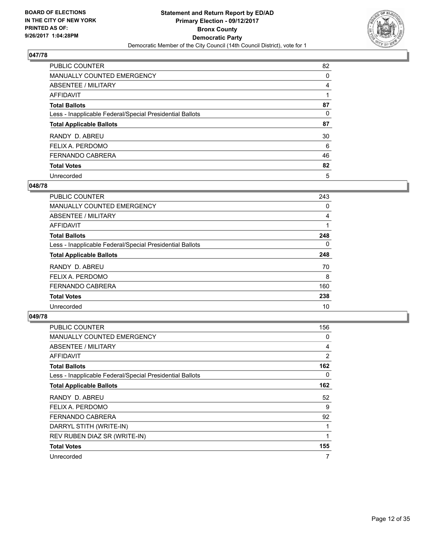

| <b>PUBLIC COUNTER</b>                                    | 82 |
|----------------------------------------------------------|----|
| <b>MANUALLY COUNTED EMERGENCY</b>                        | 0  |
| ABSENTEE / MILITARY                                      | 4  |
| AFFIDAVIT                                                |    |
| <b>Total Ballots</b>                                     | 87 |
| Less - Inapplicable Federal/Special Presidential Ballots | 0  |
| <b>Total Applicable Ballots</b>                          | 87 |
| RANDY D. ABREU                                           | 30 |
| FELIX A. PERDOMO                                         | 6  |
| <b>FERNANDO CABRERA</b>                                  | 46 |
| <b>Total Votes</b>                                       | 82 |
| Unrecorded                                               | 5  |

#### **048/78**

| <b>PUBLIC COUNTER</b>                                    | 243 |
|----------------------------------------------------------|-----|
| <b>MANUALLY COUNTED EMERGENCY</b>                        | 0   |
| ABSENTEE / MILITARY                                      | 4   |
| <b>AFFIDAVIT</b>                                         |     |
| <b>Total Ballots</b>                                     | 248 |
| Less - Inapplicable Federal/Special Presidential Ballots | 0   |
| <b>Total Applicable Ballots</b>                          | 248 |
| RANDY D. ABREU                                           | 70  |
| FELIX A. PERDOMO                                         | 8   |
| <b>FERNANDO CABRERA</b>                                  | 160 |
| <b>Total Votes</b>                                       | 238 |
| Unrecorded                                               | 10  |

| <b>PUBLIC COUNTER</b>                                    | 156 |
|----------------------------------------------------------|-----|
| <b>MANUALLY COUNTED EMERGENCY</b>                        | 0   |
| ABSENTEE / MILITARY                                      | 4   |
| AFFIDAVIT                                                | 2   |
| <b>Total Ballots</b>                                     | 162 |
| Less - Inapplicable Federal/Special Presidential Ballots | 0   |
| <b>Total Applicable Ballots</b>                          | 162 |
| RANDY D. ABREU                                           | 52  |
| FELIX A. PERDOMO                                         | 9   |
| <b>FERNANDO CABRERA</b>                                  | 92  |
| DARRYL STITH (WRITE-IN)                                  | 1   |
| REV RUBEN DIAZ SR (WRITE-IN)                             | 1   |
| <b>Total Votes</b>                                       | 155 |
| Unrecorded                                               | 7   |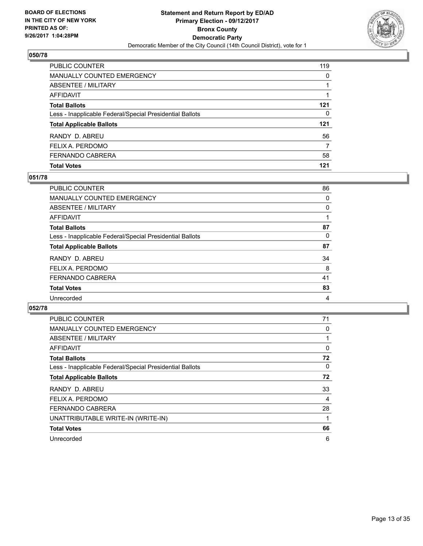

| PUBLIC COUNTER                                           | 119 |
|----------------------------------------------------------|-----|
| <b>MANUALLY COUNTED EMERGENCY</b>                        | 0   |
| <b>ABSENTEE / MILITARY</b>                               |     |
| <b>AFFIDAVIT</b>                                         |     |
| <b>Total Ballots</b>                                     | 121 |
| Less - Inapplicable Federal/Special Presidential Ballots | 0   |
| <b>Total Applicable Ballots</b>                          | 121 |
| RANDY D. ABREU                                           | 56  |
| FELIX A. PERDOMO                                         | 7   |
| <b>FERNANDO CABRERA</b>                                  | 58  |
| <b>Total Votes</b>                                       | 121 |

#### **051/78**

| PUBLIC COUNTER                                           | 86 |
|----------------------------------------------------------|----|
| <b>MANUALLY COUNTED EMERGENCY</b>                        | 0  |
| ABSENTEE / MILITARY                                      | 0  |
| AFFIDAVIT                                                |    |
| <b>Total Ballots</b>                                     | 87 |
| Less - Inapplicable Federal/Special Presidential Ballots | 0  |
| <b>Total Applicable Ballots</b>                          | 87 |
| RANDY D. ABREU                                           | 34 |
| FELIX A. PERDOMO                                         | 8  |
| FERNANDO CABRERA                                         | 41 |
| <b>Total Votes</b>                                       | 83 |
| Unrecorded                                               | 4  |
|                                                          |    |

| <b>PUBLIC COUNTER</b>                                    | 71 |
|----------------------------------------------------------|----|
| <b>MANUALLY COUNTED EMERGENCY</b>                        | 0  |
| ABSENTEE / MILITARY                                      |    |
| AFFIDAVIT                                                | 0  |
| <b>Total Ballots</b>                                     | 72 |
| Less - Inapplicable Federal/Special Presidential Ballots | 0  |
| <b>Total Applicable Ballots</b>                          | 72 |
| RANDY D. ABREU                                           | 33 |
| FELIX A. PERDOMO                                         | 4  |
| <b>FERNANDO CABRERA</b>                                  | 28 |
| UNATTRIBUTABLE WRITE-IN (WRITE-IN)                       | 1  |
| <b>Total Votes</b>                                       | 66 |
| Unrecorded                                               | 6  |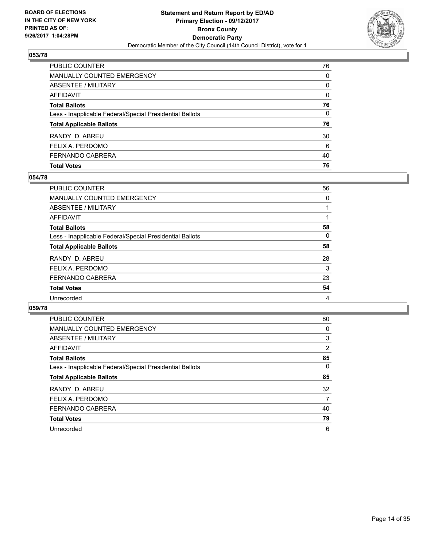

| <b>PUBLIC COUNTER</b>                                    | 76           |
|----------------------------------------------------------|--------------|
| <b>MANUALLY COUNTED EMERGENCY</b>                        | $\Omega$     |
| <b>ABSENTEE / MILITARY</b>                               | 0            |
| <b>AFFIDAVIT</b>                                         | $\Omega$     |
| <b>Total Ballots</b>                                     | 76           |
| Less - Inapplicable Federal/Special Presidential Ballots | $\mathbf{0}$ |
| <b>Total Applicable Ballots</b>                          | 76           |
| RANDY D. ABREU                                           | 30           |
| FELIX A. PERDOMO                                         | 6            |
| FERNANDO CABRERA                                         | 40           |
| <b>Total Votes</b>                                       | 76           |

## **054/78**

| 56 |
|----|
| 0  |
|    |
|    |
| 58 |
| 0  |
| 58 |
| 28 |
| 3  |
| 23 |
| 54 |
| 4  |
|    |

| <b>PUBLIC COUNTER</b>                                    | 80             |
|----------------------------------------------------------|----------------|
| <b>MANUALLY COUNTED EMERGENCY</b>                        | 0              |
| ABSENTEE / MILITARY                                      | 3              |
| <b>AFFIDAVIT</b>                                         | $\overline{2}$ |
| <b>Total Ballots</b>                                     | 85             |
| Less - Inapplicable Federal/Special Presidential Ballots | 0              |
| <b>Total Applicable Ballots</b>                          | 85             |
| RANDY D. ABREU                                           | 32             |
| FELIX A. PERDOMO                                         | 7              |
| <b>FERNANDO CABRERA</b>                                  | 40             |
| <b>Total Votes</b>                                       | 79             |
| Unrecorded                                               | 6              |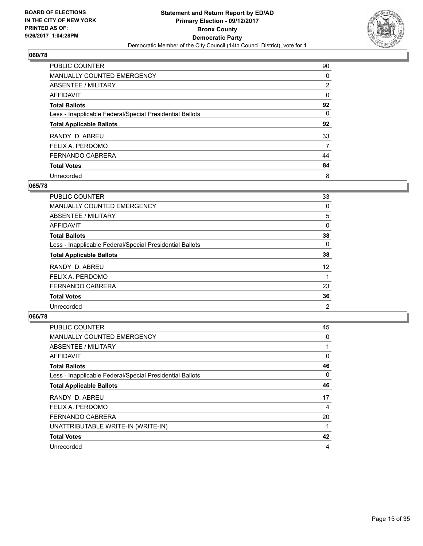

| <b>PUBLIC COUNTER</b>                                    | 90             |
|----------------------------------------------------------|----------------|
| <b>MANUALLY COUNTED EMERGENCY</b>                        | 0              |
| ABSENTEE / MILITARY                                      | $\overline{2}$ |
| AFFIDAVIT                                                | 0              |
| <b>Total Ballots</b>                                     | 92             |
| Less - Inapplicable Federal/Special Presidential Ballots | 0              |
| <b>Total Applicable Ballots</b>                          | 92             |
| RANDY D. ABREU                                           | 33             |
| FELIX A. PERDOMO                                         | 7              |
| FERNANDO CABRERA                                         | 44             |
| <b>Total Votes</b>                                       | 84             |
| Unrecorded                                               | 8              |

#### **065/78**

| <b>PUBLIC COUNTER</b>                                    | 33             |
|----------------------------------------------------------|----------------|
| MANUALLY COUNTED EMERGENCY                               | 0              |
| ABSENTEE / MILITARY                                      | 5              |
| <b>AFFIDAVIT</b>                                         | 0              |
| <b>Total Ballots</b>                                     | 38             |
| Less - Inapplicable Federal/Special Presidential Ballots | 0              |
| <b>Total Applicable Ballots</b>                          | 38             |
| RANDY D. ABREU                                           | 12             |
| FELIX A. PERDOMO                                         |                |
| <b>FERNANDO CABRERA</b>                                  | 23             |
| <b>Total Votes</b>                                       | 36             |
| Unrecorded                                               | $\overline{2}$ |

| <b>PUBLIC COUNTER</b>                                    | 45 |
|----------------------------------------------------------|----|
| <b>MANUALLY COUNTED EMERGENCY</b>                        | 0  |
| ABSENTEE / MILITARY                                      |    |
| AFFIDAVIT                                                | 0  |
| <b>Total Ballots</b>                                     | 46 |
| Less - Inapplicable Federal/Special Presidential Ballots | 0  |
| <b>Total Applicable Ballots</b>                          | 46 |
| RANDY D. ABREU                                           | 17 |
| FELIX A. PERDOMO                                         | 4  |
| FERNANDO CABRERA                                         | 20 |
| UNATTRIBUTABLE WRITE-IN (WRITE-IN)                       |    |
| <b>Total Votes</b>                                       | 42 |
| Unrecorded                                               | 4  |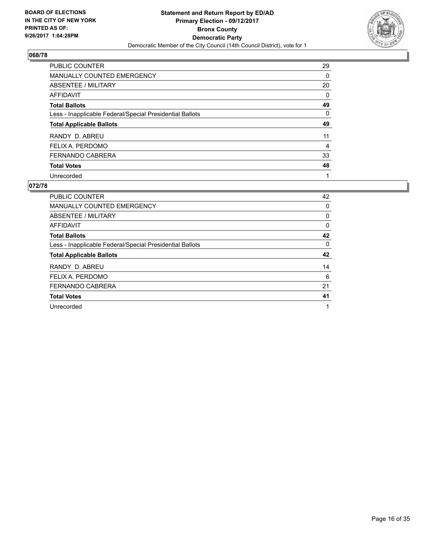

| <b>PUBLIC COUNTER</b>                                    | 29 |
|----------------------------------------------------------|----|
| <b>MANUALLY COUNTED EMERGENCY</b>                        | 0  |
| ABSENTEE / MILITARY                                      | 20 |
| AFFIDAVIT                                                | 0  |
| <b>Total Ballots</b>                                     | 49 |
| Less - Inapplicable Federal/Special Presidential Ballots | 0  |
| <b>Total Applicable Ballots</b>                          | 49 |
| RANDY D. ABREU                                           | 11 |
| FELIX A. PERDOMO                                         | 4  |
| <b>FERNANDO CABRERA</b>                                  | 33 |
| <b>Total Votes</b>                                       | 48 |
| Unrecorded                                               | 1  |

| <b>PUBLIC COUNTER</b>                                    | 42 |
|----------------------------------------------------------|----|
| <b>MANUALLY COUNTED EMERGENCY</b>                        | 0  |
| ABSENTEE / MILITARY                                      | 0  |
| <b>AFFIDAVIT</b>                                         | 0  |
| <b>Total Ballots</b>                                     | 42 |
| Less - Inapplicable Federal/Special Presidential Ballots | 0  |
| <b>Total Applicable Ballots</b>                          | 42 |
| RANDY D. ABREU                                           | 14 |
| FELIX A. PERDOMO                                         | 6  |
| <b>FERNANDO CABRERA</b>                                  | 21 |
|                                                          |    |
| <b>Total Votes</b>                                       | 41 |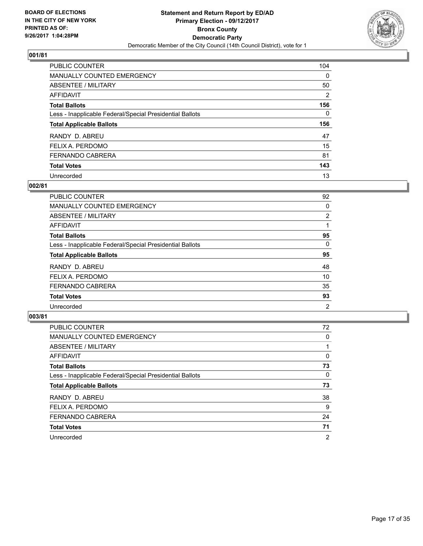

| <b>PUBLIC COUNTER</b>                                    | 104      |
|----------------------------------------------------------|----------|
| <b>MANUALLY COUNTED EMERGENCY</b>                        | $\Omega$ |
| ABSENTEE / MILITARY                                      | 50       |
| AFFIDAVIT                                                | 2        |
| <b>Total Ballots</b>                                     | 156      |
| Less - Inapplicable Federal/Special Presidential Ballots | 0        |
| <b>Total Applicable Ballots</b>                          | 156      |
| RANDY D. ABREU                                           | 47       |
| FELIX A. PERDOMO                                         | 15       |
| <b>FERNANDO CABRERA</b>                                  | 81       |
| <b>Total Votes</b>                                       | 143      |
| Unrecorded                                               | 13       |

#### **002/81**

| <b>PUBLIC COUNTER</b>                                    | 92             |
|----------------------------------------------------------|----------------|
| MANUALLY COUNTED EMERGENCY                               | 0              |
| ABSENTEE / MILITARY                                      | 2              |
| <b>AFFIDAVIT</b>                                         |                |
| <b>Total Ballots</b>                                     | 95             |
| Less - Inapplicable Federal/Special Presidential Ballots | 0              |
| <b>Total Applicable Ballots</b>                          | 95             |
| RANDY D. ABREU                                           | 48             |
| FELIX A. PERDOMO                                         | 10             |
| <b>FERNANDO CABRERA</b>                                  | 35             |
| <b>Total Votes</b>                                       | 93             |
| Unrecorded                                               | $\overline{2}$ |

| <b>PUBLIC COUNTER</b>                                    | 72             |
|----------------------------------------------------------|----------------|
| <b>MANUALLY COUNTED EMERGENCY</b>                        | 0              |
| ABSENTEE / MILITARY                                      |                |
| AFFIDAVIT                                                | 0              |
| <b>Total Ballots</b>                                     | 73             |
| Less - Inapplicable Federal/Special Presidential Ballots | 0              |
| <b>Total Applicable Ballots</b>                          | 73             |
| RANDY D. ABREU                                           | 38             |
| FELIX A. PERDOMO                                         | 9              |
| <b>FERNANDO CABRERA</b>                                  | 24             |
| <b>Total Votes</b>                                       | 71             |
| Unrecorded                                               | $\overline{2}$ |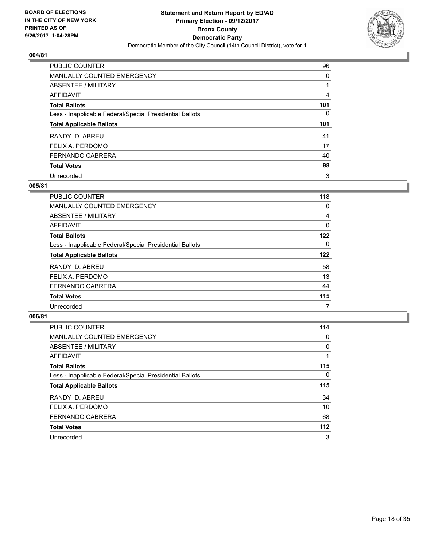

| <b>PUBLIC COUNTER</b>                                    | 96  |
|----------------------------------------------------------|-----|
| <b>MANUALLY COUNTED EMERGENCY</b>                        | 0   |
| ABSENTEE / MILITARY                                      |     |
| AFFIDAVIT                                                | 4   |
| <b>Total Ballots</b>                                     | 101 |
| Less - Inapplicable Federal/Special Presidential Ballots | 0   |
| <b>Total Applicable Ballots</b>                          | 101 |
|                                                          |     |
| RANDY D. ABREU                                           | 41  |
| FELIX A. PERDOMO                                         | 17  |
| <b>FERNANDO CABRERA</b>                                  | 40  |
| <b>Total Votes</b>                                       | 98  |

#### **005/81**

| <b>PUBLIC COUNTER</b>                                    | 118 |
|----------------------------------------------------------|-----|
| <b>MANUALLY COUNTED EMERGENCY</b>                        | 0   |
| ABSENTEE / MILITARY                                      | 4   |
| AFFIDAVIT                                                | 0   |
| <b>Total Ballots</b>                                     | 122 |
| Less - Inapplicable Federal/Special Presidential Ballots | 0   |
| <b>Total Applicable Ballots</b>                          | 122 |
| RANDY D. ABREU                                           | 58  |
| FELIX A. PERDOMO                                         | 13  |
| <b>FERNANDO CABRERA</b>                                  | 44  |
| <b>Total Votes</b>                                       | 115 |
| Unrecorded                                               | 7   |

| <b>PUBLIC COUNTER</b>                                    | 114   |
|----------------------------------------------------------|-------|
| <b>MANUALLY COUNTED EMERGENCY</b>                        | 0     |
| ABSENTEE / MILITARY                                      | 0     |
| AFFIDAVIT                                                |       |
| <b>Total Ballots</b>                                     | 115   |
| Less - Inapplicable Federal/Special Presidential Ballots | 0     |
| <b>Total Applicable Ballots</b>                          | 115   |
| RANDY D. ABREU                                           | 34    |
| FELIX A. PERDOMO                                         | 10    |
| <b>FERNANDO CABRERA</b>                                  | 68    |
| <b>Total Votes</b>                                       | $112$ |
| Unrecorded                                               | 3     |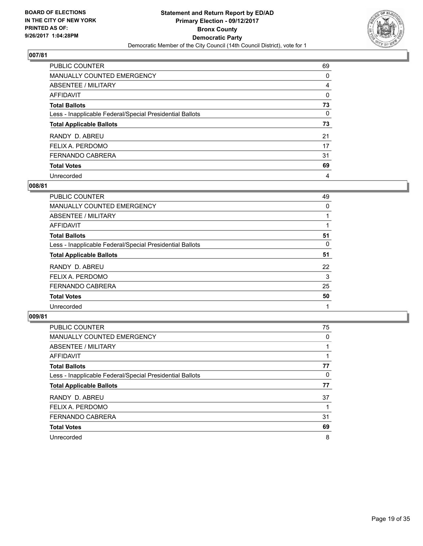

| <b>PUBLIC COUNTER</b>                                    | 69 |
|----------------------------------------------------------|----|
| <b>MANUALLY COUNTED EMERGENCY</b>                        | 0  |
| ABSENTEE / MILITARY                                      | 4  |
| AFFIDAVIT                                                | 0  |
| <b>Total Ballots</b>                                     | 73 |
| Less - Inapplicable Federal/Special Presidential Ballots | 0  |
| <b>Total Applicable Ballots</b>                          | 73 |
| RANDY D. ABREU                                           | 21 |
| FELIX A. PERDOMO                                         | 17 |
| <b>FERNANDO CABRERA</b>                                  | 31 |
| <b>Total Votes</b>                                       | 69 |
| Unrecorded                                               | 4  |

#### **008/81**

| PUBLIC COUNTER                                           | 49 |
|----------------------------------------------------------|----|
| <b>MANUALLY COUNTED EMERGENCY</b>                        | 0  |
| ABSENTEE / MILITARY                                      |    |
| AFFIDAVIT                                                |    |
| <b>Total Ballots</b>                                     | 51 |
| Less - Inapplicable Federal/Special Presidential Ballots | 0  |
| <b>Total Applicable Ballots</b>                          | 51 |
| RANDY D. ABREU                                           | 22 |
| FELIX A. PERDOMO                                         | 3  |
| <b>FERNANDO CABRERA</b>                                  | 25 |
| <b>Total Votes</b>                                       | 50 |
| Unrecorded                                               |    |

| <b>PUBLIC COUNTER</b>                                    | 75 |
|----------------------------------------------------------|----|
| <b>MANUALLY COUNTED EMERGENCY</b>                        | 0  |
| ABSENTEE / MILITARY                                      |    |
| AFFIDAVIT                                                |    |
| <b>Total Ballots</b>                                     | 77 |
| Less - Inapplicable Federal/Special Presidential Ballots | 0  |
| <b>Total Applicable Ballots</b>                          | 77 |
| RANDY D. ABREU                                           | 37 |
| FELIX A. PERDOMO                                         |    |
| <b>FERNANDO CABRERA</b>                                  | 31 |
| <b>Total Votes</b>                                       | 69 |
| Unrecorded                                               | 8  |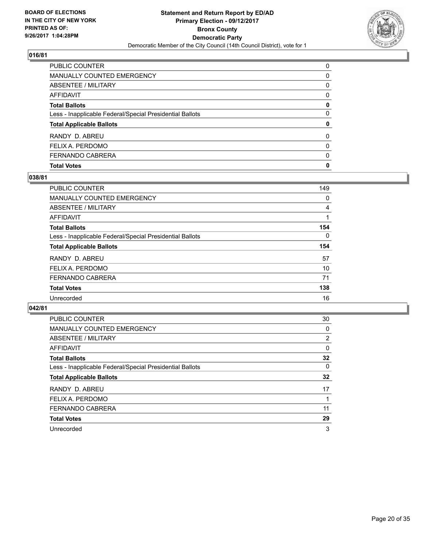

| PUBLIC COUNTER                                           | 0            |
|----------------------------------------------------------|--------------|
| <b>MANUALLY COUNTED EMERGENCY</b>                        | 0            |
| <b>ABSENTEE / MILITARY</b>                               | 0            |
| <b>AFFIDAVIT</b>                                         | 0            |
| <b>Total Ballots</b>                                     | 0            |
| Less - Inapplicable Federal/Special Presidential Ballots | 0            |
| <b>Total Applicable Ballots</b>                          | 0            |
| RANDY D. ABREU                                           | $\Omega$     |
| FELIX A. PERDOMO                                         | 0            |
| FERNANDO CABRERA                                         | 0            |
| <b>Total Votes</b>                                       | $\mathbf{0}$ |

## **038/81**

| PUBLIC COUNTER                                           | 149 |
|----------------------------------------------------------|-----|
| <b>MANUALLY COUNTED EMERGENCY</b>                        | 0   |
| ABSENTEE / MILITARY                                      | 4   |
| AFFIDAVIT                                                |     |
| <b>Total Ballots</b>                                     | 154 |
| Less - Inapplicable Federal/Special Presidential Ballots | 0   |
| <b>Total Applicable Ballots</b>                          | 154 |
| RANDY D. ABREU                                           | 57  |
| FELIX A. PERDOMO                                         | 10  |
| <b>FERNANDO CABRERA</b>                                  | 71  |
| <b>Total Votes</b>                                       | 138 |
| Unrecorded                                               | 16  |
|                                                          |     |

| <b>PUBLIC COUNTER</b>                                    | 30       |
|----------------------------------------------------------|----------|
| <b>MANUALLY COUNTED EMERGENCY</b>                        | 0        |
| ABSENTEE / MILITARY                                      | 2        |
| <b>AFFIDAVIT</b>                                         | $\Omega$ |
| <b>Total Ballots</b>                                     | 32       |
| Less - Inapplicable Federal/Special Presidential Ballots | 0        |
| <b>Total Applicable Ballots</b>                          | 32       |
| RANDY D. ABREU                                           | 17       |
| FELIX A. PERDOMO                                         |          |
| <b>FERNANDO CABRERA</b>                                  | 11       |
| <b>Total Votes</b>                                       | 29       |
| Unrecorded                                               | 3        |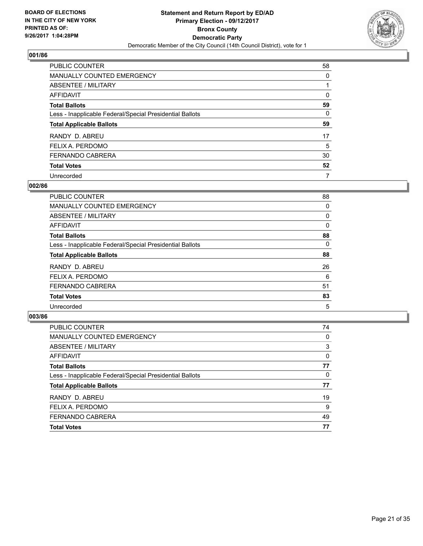

| <b>PUBLIC COUNTER</b>                                    | 58 |
|----------------------------------------------------------|----|
| <b>MANUALLY COUNTED EMERGENCY</b>                        | 0  |
| ABSENTEE / MILITARY                                      |    |
| AFFIDAVIT                                                | 0  |
| <b>Total Ballots</b>                                     | 59 |
| Less - Inapplicable Federal/Special Presidential Ballots | 0  |
| <b>Total Applicable Ballots</b>                          | 59 |
| RANDY D. ABREU                                           | 17 |
| FELIX A. PERDOMO                                         | 5  |
| <b>FERNANDO CABRERA</b>                                  | 30 |
| <b>Total Votes</b>                                       | 52 |
| Unrecorded                                               | 7  |

#### **002/86**

| <b>PUBLIC COUNTER</b>                                    | 88 |
|----------------------------------------------------------|----|
| <b>MANUALLY COUNTED EMERGENCY</b>                        | 0  |
| ABSENTEE / MILITARY                                      | 0  |
| AFFIDAVIT                                                | 0  |
| <b>Total Ballots</b>                                     | 88 |
| Less - Inapplicable Federal/Special Presidential Ballots | 0  |
| <b>Total Applicable Ballots</b>                          | 88 |
| RANDY D. ABREU                                           | 26 |
| FELIX A. PERDOMO                                         | 6  |
| <b>FERNANDO CABRERA</b>                                  | 51 |
| <b>Total Votes</b>                                       | 83 |
| Unrecorded                                               | 5  |
|                                                          |    |

| PUBLIC COUNTER                                           | 74 |
|----------------------------------------------------------|----|
| <b>MANUALLY COUNTED EMERGENCY</b>                        | 0  |
| ABSENTEE / MILITARY                                      | 3  |
| AFFIDAVIT                                                | 0  |
| <b>Total Ballots</b>                                     | 77 |
| Less - Inapplicable Federal/Special Presidential Ballots | 0  |
| <b>Total Applicable Ballots</b>                          | 77 |
| RANDY D. ABREU                                           | 19 |
| FELIX A. PERDOMO                                         | 9  |
| <b>FERNANDO CABRERA</b>                                  | 49 |
| <b>Total Votes</b>                                       | 77 |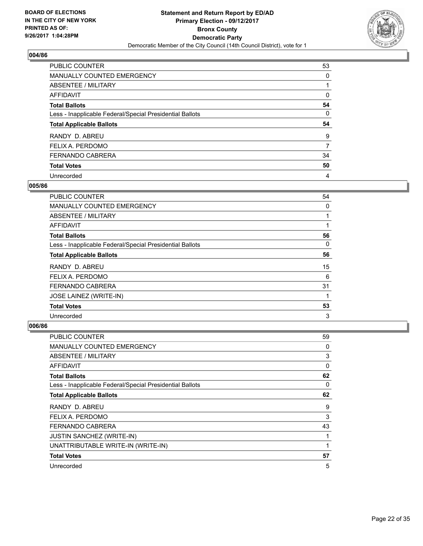

| <b>PUBLIC COUNTER</b>                                    | 53 |
|----------------------------------------------------------|----|
| <b>MANUALLY COUNTED EMERGENCY</b>                        | 0  |
| ABSENTEE / MILITARY                                      |    |
| AFFIDAVIT                                                | 0  |
| <b>Total Ballots</b>                                     | 54 |
| Less - Inapplicable Federal/Special Presidential Ballots | 0  |
| <b>Total Applicable Ballots</b>                          | 54 |
| RANDY D. ABREU                                           | 9  |
|                                                          |    |
| FELIX A. PERDOMO                                         | 7  |
| <b>FERNANDO CABRERA</b>                                  | 34 |
| <b>Total Votes</b>                                       | 50 |

#### **005/86**

| <b>PUBLIC COUNTER</b>                                    | 54 |
|----------------------------------------------------------|----|
| <b>MANUALLY COUNTED EMERGENCY</b>                        | 0  |
| ABSENTEE / MILITARY                                      |    |
| <b>AFFIDAVIT</b>                                         |    |
| <b>Total Ballots</b>                                     | 56 |
| Less - Inapplicable Federal/Special Presidential Ballots | 0  |
| <b>Total Applicable Ballots</b>                          | 56 |
| RANDY D. ABREU                                           | 15 |
| FELIX A. PERDOMO                                         | 6  |
| <b>FERNANDO CABRERA</b>                                  | 31 |
| <b>JOSE LAINEZ (WRITE-IN)</b>                            | 1  |
| <b>Total Votes</b>                                       | 53 |
| Unrecorded                                               | 3  |

| PUBLIC COUNTER                                           | 59 |
|----------------------------------------------------------|----|
| <b>MANUALLY COUNTED EMERGENCY</b>                        | 0  |
| ABSENTEE / MILITARY                                      | 3  |
| AFFIDAVIT                                                | 0  |
| <b>Total Ballots</b>                                     | 62 |
| Less - Inapplicable Federal/Special Presidential Ballots | 0  |
| <b>Total Applicable Ballots</b>                          | 62 |
| RANDY D. ABREU                                           | 9  |
| FELIX A. PERDOMO                                         | 3  |
| <b>FERNANDO CABRERA</b>                                  | 43 |
| <b>JUSTIN SANCHEZ (WRITE-IN)</b>                         |    |
| UNATTRIBUTABLE WRITE-IN (WRITE-IN)                       |    |
| <b>Total Votes</b>                                       | 57 |
| Unrecorded                                               | 5  |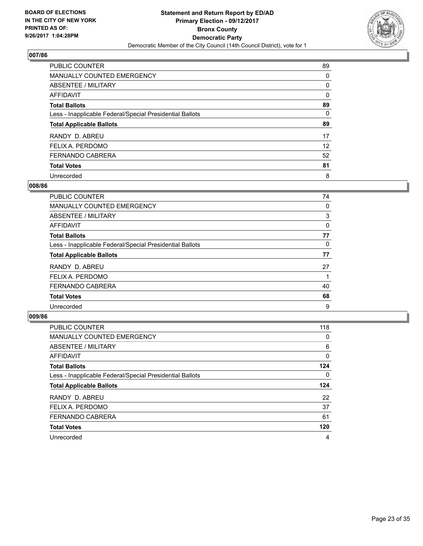

| <b>PUBLIC COUNTER</b>                                    | 89 |
|----------------------------------------------------------|----|
| <b>MANUALLY COUNTED EMERGENCY</b>                        | 0  |
| ABSENTEE / MILITARY                                      | 0  |
| AFFIDAVIT                                                | 0  |
| <b>Total Ballots</b>                                     | 89 |
| Less - Inapplicable Federal/Special Presidential Ballots | 0  |
| <b>Total Applicable Ballots</b>                          | 89 |
| RANDY D. ABREU                                           | 17 |
| FELIX A. PERDOMO                                         | 12 |
| <b>FERNANDO CABRERA</b>                                  | 52 |
|                                                          |    |
| <b>Total Votes</b>                                       | 81 |

#### **008/86**

| <b>PUBLIC COUNTER</b>                                    | 74 |
|----------------------------------------------------------|----|
| <b>MANUALLY COUNTED EMERGENCY</b>                        | 0  |
| ABSENTEE / MILITARY                                      | 3  |
| AFFIDAVIT                                                | 0  |
| <b>Total Ballots</b>                                     | 77 |
| Less - Inapplicable Federal/Special Presidential Ballots | 0  |
| <b>Total Applicable Ballots</b>                          | 77 |
| RANDY D. ABREU                                           | 27 |
| FELIX A. PERDOMO                                         |    |
| <b>FERNANDO CABRERA</b>                                  | 40 |
| <b>Total Votes</b>                                       | 68 |
| Unrecorded                                               | 9  |
|                                                          |    |

| <b>PUBLIC COUNTER</b>                                    | 118 |
|----------------------------------------------------------|-----|
| <b>MANUALLY COUNTED EMERGENCY</b>                        | 0   |
| ABSENTEE / MILITARY                                      | 6   |
| AFFIDAVIT                                                | 0   |
| <b>Total Ballots</b>                                     | 124 |
| Less - Inapplicable Federal/Special Presidential Ballots | 0   |
| <b>Total Applicable Ballots</b>                          | 124 |
| RANDY D. ABREU                                           | 22  |
| FELIX A. PERDOMO                                         | 37  |
| <b>FERNANDO CABRERA</b>                                  | 61  |
| <b>Total Votes</b>                                       | 120 |
| Unrecorded                                               | 4   |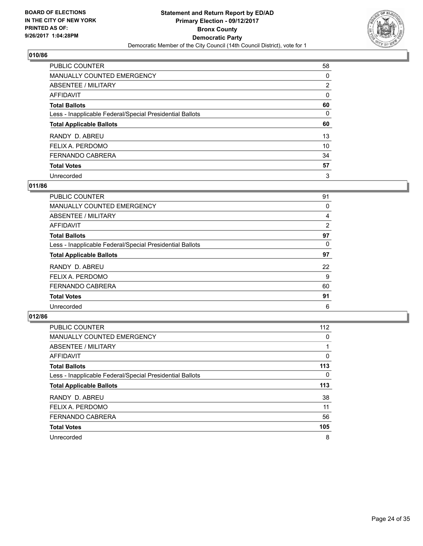

| <b>PUBLIC COUNTER</b>                                    | 58             |
|----------------------------------------------------------|----------------|
| <b>MANUALLY COUNTED EMERGENCY</b>                        | 0              |
| ABSENTEE / MILITARY                                      | $\overline{2}$ |
| AFFIDAVIT                                                | 0              |
| <b>Total Ballots</b>                                     | 60             |
| Less - Inapplicable Federal/Special Presidential Ballots | 0              |
| <b>Total Applicable Ballots</b>                          | 60             |
| RANDY D. ABREU                                           | 13             |
| FELIX A. PERDOMO                                         | 10             |
| <b>FERNANDO CABRERA</b>                                  | 34             |
| <b>Total Votes</b>                                       | 57             |
| Unrecorded                                               | 3              |

#### **011/86**

| PUBLIC COUNTER                                           | 91 |
|----------------------------------------------------------|----|
| <b>MANUALLY COUNTED EMERGENCY</b>                        | 0  |
| ABSENTEE / MILITARY                                      | 4  |
| <b>AFFIDAVIT</b>                                         | 2  |
| <b>Total Ballots</b>                                     | 97 |
| Less - Inapplicable Federal/Special Presidential Ballots | 0  |
| <b>Total Applicable Ballots</b>                          | 97 |
| RANDY D. ABREU                                           | 22 |
| FELIX A. PERDOMO                                         | 9  |
| <b>FERNANDO CABRERA</b>                                  | 60 |
| <b>Total Votes</b>                                       | 91 |
| Unrecorded                                               | 6  |

| <b>PUBLIC COUNTER</b>                                    | 112 |
|----------------------------------------------------------|-----|
| MANUALLY COUNTED EMERGENCY                               | 0   |
| ABSENTEE / MILITARY                                      |     |
| <b>AFFIDAVIT</b>                                         | 0   |
| <b>Total Ballots</b>                                     | 113 |
| Less - Inapplicable Federal/Special Presidential Ballots | 0   |
| <b>Total Applicable Ballots</b>                          | 113 |
| RANDY D. ABREU                                           | 38  |
| FELIX A. PERDOMO                                         | 11  |
| <b>FERNANDO CABRERA</b>                                  | 56  |
| <b>Total Votes</b>                                       | 105 |
| Unrecorded                                               | 8   |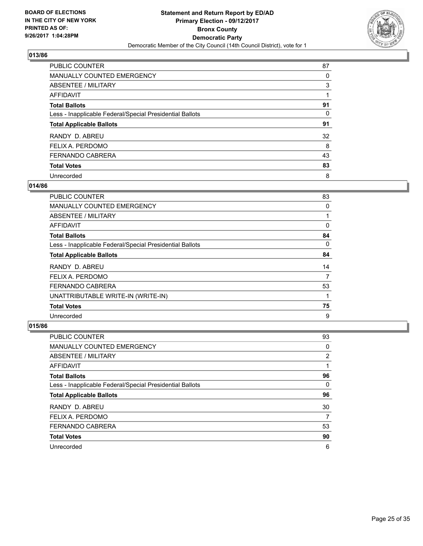

| <b>PUBLIC COUNTER</b>                                    | 87 |
|----------------------------------------------------------|----|
| <b>MANUALLY COUNTED EMERGENCY</b>                        | 0  |
| ABSENTEE / MILITARY                                      | 3  |
| AFFIDAVIT                                                |    |
| <b>Total Ballots</b>                                     | 91 |
| Less - Inapplicable Federal/Special Presidential Ballots | 0  |
| <b>Total Applicable Ballots</b>                          | 91 |
| RANDY D. ABREU                                           | 32 |
| FELIX A. PERDOMO                                         | 8  |
| <b>FERNANDO CABRERA</b>                                  | 43 |
| <b>Total Votes</b>                                       | 83 |
| Unrecorded                                               | 8  |

#### **014/86**

| <b>PUBLIC COUNTER</b>                                    | 83 |
|----------------------------------------------------------|----|
| <b>MANUALLY COUNTED EMERGENCY</b>                        | 0  |
| ABSENTEE / MILITARY                                      |    |
| AFFIDAVIT                                                | 0  |
| <b>Total Ballots</b>                                     | 84 |
| Less - Inapplicable Federal/Special Presidential Ballots | 0  |
| <b>Total Applicable Ballots</b>                          | 84 |
| RANDY D. ABREU                                           | 14 |
| FELIX A. PERDOMO                                         | 7  |
| <b>FERNANDO CABRERA</b>                                  | 53 |
| UNATTRIBUTABLE WRITE-IN (WRITE-IN)                       |    |
| <b>Total Votes</b>                                       | 75 |
| Unrecorded                                               | 9  |

| <b>PUBLIC COUNTER</b>                                    | 93             |
|----------------------------------------------------------|----------------|
| <b>MANUALLY COUNTED EMERGENCY</b>                        | 0              |
| ABSENTEE / MILITARY                                      | $\overline{2}$ |
| AFFIDAVIT                                                |                |
| <b>Total Ballots</b>                                     | 96             |
| Less - Inapplicable Federal/Special Presidential Ballots | 0              |
| <b>Total Applicable Ballots</b>                          | 96             |
| RANDY D. ABREU                                           | 30             |
| FELIX A. PERDOMO                                         | 7              |
| FERNANDO CABRERA                                         | 53             |
| <b>Total Votes</b>                                       | 90             |
| Unrecorded                                               | 6              |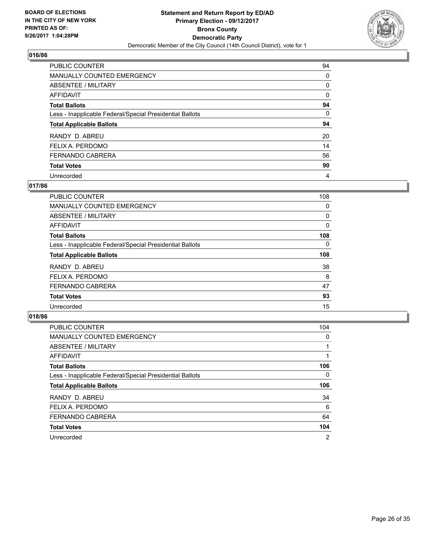

| <b>PUBLIC COUNTER</b>                                    | 94 |
|----------------------------------------------------------|----|
| <b>MANUALLY COUNTED EMERGENCY</b>                        | 0  |
| ABSENTEE / MILITARY                                      | 0  |
| AFFIDAVIT                                                | 0  |
| <b>Total Ballots</b>                                     | 94 |
| Less - Inapplicable Federal/Special Presidential Ballots | 0  |
| <b>Total Applicable Ballots</b>                          | 94 |
| RANDY D. ABREU                                           | 20 |
| FELIX A. PERDOMO                                         | 14 |
| <b>FERNANDO CABRERA</b>                                  | 56 |
| <b>Total Votes</b>                                       | 90 |
| Unrecorded                                               | 4  |

#### **017/86**

| <b>PUBLIC COUNTER</b>                                    | 108 |
|----------------------------------------------------------|-----|
| <b>MANUALLY COUNTED EMERGENCY</b>                        | 0   |
| ABSENTEE / MILITARY                                      | 0   |
| AFFIDAVIT                                                | 0   |
| <b>Total Ballots</b>                                     | 108 |
| Less - Inapplicable Federal/Special Presidential Ballots | 0   |
| <b>Total Applicable Ballots</b>                          | 108 |
| RANDY D. ABREU                                           | 38  |
| FELIX A. PERDOMO                                         | 8   |
| <b>FERNANDO CABRERA</b>                                  | 47  |
| <b>Total Votes</b>                                       | 93  |
| Unrecorded                                               | 15  |

| <b>PUBLIC COUNTER</b>                                    | 104            |
|----------------------------------------------------------|----------------|
| MANUALLY COUNTED EMERGENCY                               | 0              |
| ABSENTEE / MILITARY                                      |                |
| <b>AFFIDAVIT</b>                                         |                |
| <b>Total Ballots</b>                                     | 106            |
| Less - Inapplicable Federal/Special Presidential Ballots | 0              |
| <b>Total Applicable Ballots</b>                          | 106            |
| RANDY D. ABREU                                           | 34             |
| FELIX A. PERDOMO                                         | 6              |
| <b>FERNANDO CABRERA</b>                                  | 64             |
| <b>Total Votes</b>                                       | 104            |
| Unrecorded                                               | $\overline{2}$ |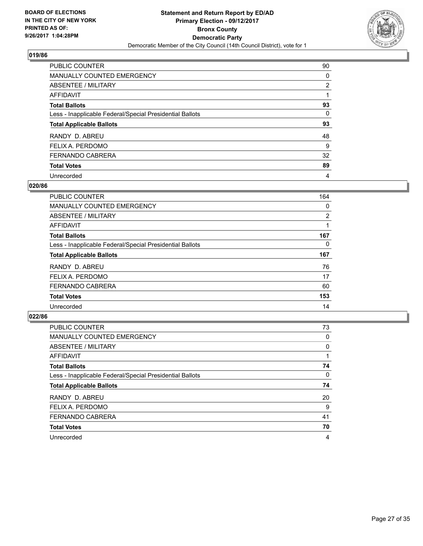

| <b>PUBLIC COUNTER</b>                                    | 90             |
|----------------------------------------------------------|----------------|
| <b>MANUALLY COUNTED EMERGENCY</b>                        | 0              |
| ABSENTEE / MILITARY                                      | $\overline{2}$ |
| AFFIDAVIT                                                |                |
| <b>Total Ballots</b>                                     | 93             |
| Less - Inapplicable Federal/Special Presidential Ballots | 0              |
| <b>Total Applicable Ballots</b>                          | 93             |
| RANDY D. ABREU                                           | 48             |
| FELIX A. PERDOMO                                         | 9              |
| <b>FERNANDO CABRERA</b>                                  | 32             |
| <b>Total Votes</b>                                       | 89             |
| Unrecorded                                               | 4              |

#### **020/86**

| <b>PUBLIC COUNTER</b>                                    | 164 |
|----------------------------------------------------------|-----|
| MANUALLY COUNTED EMERGENCY                               | 0   |
| ABSENTEE / MILITARY                                      | 2   |
| AFFIDAVIT                                                |     |
| <b>Total Ballots</b>                                     | 167 |
| Less - Inapplicable Federal/Special Presidential Ballots | 0   |
| <b>Total Applicable Ballots</b>                          | 167 |
| RANDY D. ABREU                                           | 76  |
| FELIX A. PERDOMO                                         | 17  |
| <b>FERNANDO CABRERA</b>                                  | 60  |
| <b>Total Votes</b>                                       | 153 |
| Unrecorded                                               | 14  |

| <b>PUBLIC COUNTER</b>                                    | 73 |
|----------------------------------------------------------|----|
| <b>MANUALLY COUNTED EMERGENCY</b>                        | 0  |
| ABSENTEE / MILITARY                                      | 0  |
| AFFIDAVIT                                                |    |
| <b>Total Ballots</b>                                     | 74 |
| Less - Inapplicable Federal/Special Presidential Ballots | 0  |
| <b>Total Applicable Ballots</b>                          | 74 |
| RANDY D. ABREU                                           | 20 |
| FELIX A. PERDOMO                                         | 9  |
| <b>FERNANDO CABRERA</b>                                  | 41 |
| <b>Total Votes</b>                                       | 70 |
| Unrecorded                                               | 4  |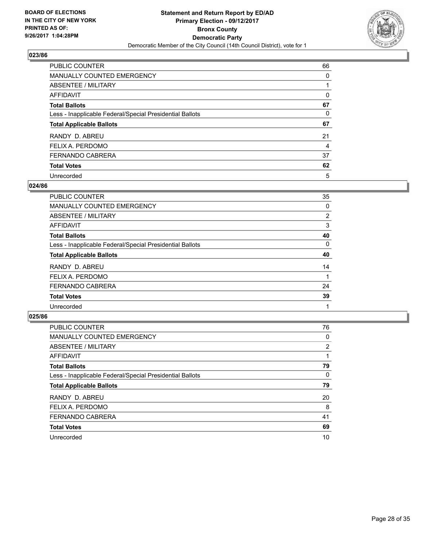

| <b>PUBLIC COUNTER</b>                                    | 66 |
|----------------------------------------------------------|----|
| <b>MANUALLY COUNTED EMERGENCY</b>                        | 0  |
| ABSENTEE / MILITARY                                      |    |
| AFFIDAVIT                                                | 0  |
| <b>Total Ballots</b>                                     | 67 |
| Less - Inapplicable Federal/Special Presidential Ballots | 0  |
| <b>Total Applicable Ballots</b>                          | 67 |
| RANDY D. ABREU                                           | 21 |
| FELIX A. PERDOMO                                         | 4  |
| <b>FERNANDO CABRERA</b>                                  | 37 |
| <b>Total Votes</b>                                       | 62 |
| Unrecorded                                               | 5  |

#### **024/86**

| <b>PUBLIC COUNTER</b>                                    | 35 |
|----------------------------------------------------------|----|
| MANUALLY COUNTED EMERGENCY                               | 0  |
| ABSENTEE / MILITARY                                      | 2  |
| AFFIDAVIT                                                | 3  |
| <b>Total Ballots</b>                                     | 40 |
| Less - Inapplicable Federal/Special Presidential Ballots | 0  |
| <b>Total Applicable Ballots</b>                          | 40 |
| RANDY D. ABREU                                           | 14 |
| FELIX A. PERDOMO                                         |    |
| <b>FERNANDO CABRERA</b>                                  | 24 |
| <b>Total Votes</b>                                       | 39 |
| Unrecorded                                               |    |
|                                                          |    |

| <b>PUBLIC COUNTER</b>                                    | 76             |
|----------------------------------------------------------|----------------|
| MANUALLY COUNTED EMERGENCY                               | 0              |
| ABSENTEE / MILITARY                                      | $\overline{2}$ |
| <b>AFFIDAVIT</b>                                         |                |
| <b>Total Ballots</b>                                     | 79             |
| Less - Inapplicable Federal/Special Presidential Ballots | 0              |
| <b>Total Applicable Ballots</b>                          | 79             |
| RANDY D. ABREU                                           | 20             |
| FELIX A. PERDOMO                                         | 8              |
| <b>FERNANDO CABRERA</b>                                  | 41             |
| <b>Total Votes</b>                                       | 69             |
| Unrecorded                                               | 10             |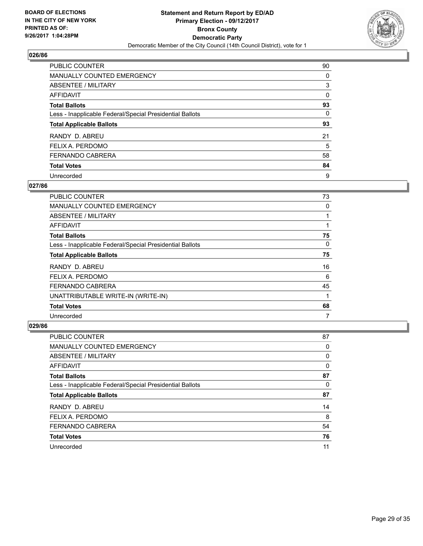

| <b>PUBLIC COUNTER</b>                                    | 90 |
|----------------------------------------------------------|----|
| <b>MANUALLY COUNTED EMERGENCY</b>                        | 0  |
| ABSENTEE / MILITARY                                      | 3  |
| AFFIDAVIT                                                | 0  |
| <b>Total Ballots</b>                                     | 93 |
| Less - Inapplicable Federal/Special Presidential Ballots | 0  |
| <b>Total Applicable Ballots</b>                          | 93 |
| RANDY D. ABREU                                           | 21 |
| FELIX A. PERDOMO                                         | 5  |
| <b>FERNANDO CABRERA</b>                                  | 58 |
| <b>Total Votes</b>                                       | 84 |
| Unrecorded                                               | 9  |

#### **027/86**

| <b>PUBLIC COUNTER</b>                                    | 73 |
|----------------------------------------------------------|----|
| <b>MANUALLY COUNTED EMERGENCY</b>                        | 0  |
| ABSENTEE / MILITARY                                      |    |
| AFFIDAVIT                                                |    |
| <b>Total Ballots</b>                                     | 75 |
| Less - Inapplicable Federal/Special Presidential Ballots | 0  |
| <b>Total Applicable Ballots</b>                          | 75 |
| RANDY D. ABREU                                           | 16 |
| FELIX A. PERDOMO                                         | 6  |
| <b>FERNANDO CABRERA</b>                                  | 45 |
| UNATTRIBUTABLE WRITE-IN (WRITE-IN)                       | 1  |
| <b>Total Votes</b>                                       | 68 |
| Unrecorded                                               | 7  |

| <b>PUBLIC COUNTER</b>                                    | 87 |
|----------------------------------------------------------|----|
| <b>MANUALLY COUNTED EMERGENCY</b>                        | 0  |
| ABSENTEE / MILITARY                                      | 0  |
| AFFIDAVIT                                                | 0  |
| <b>Total Ballots</b>                                     | 87 |
| Less - Inapplicable Federal/Special Presidential Ballots | 0  |
| <b>Total Applicable Ballots</b>                          | 87 |
| RANDY D. ABREU                                           | 14 |
| FELIX A. PERDOMO                                         | 8  |
| <b>FERNANDO CABRERA</b>                                  | 54 |
| <b>Total Votes</b>                                       | 76 |
| Unrecorded                                               | 11 |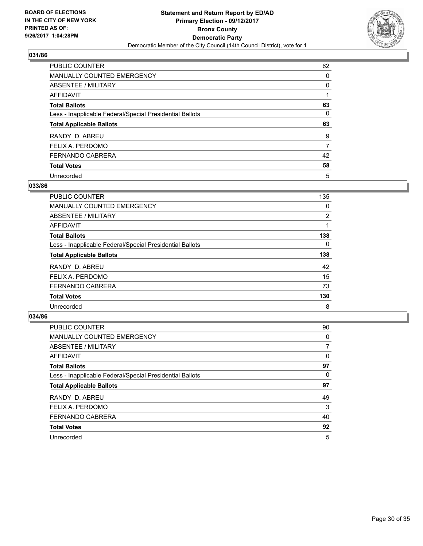

| <b>PUBLIC COUNTER</b>                                    | 62 |
|----------------------------------------------------------|----|
| <b>MANUALLY COUNTED EMERGENCY</b>                        | 0  |
| ABSENTEE / MILITARY                                      | 0  |
| AFFIDAVIT                                                |    |
| <b>Total Ballots</b>                                     | 63 |
| Less - Inapplicable Federal/Special Presidential Ballots | 0  |
|                                                          | 63 |
| <b>Total Applicable Ballots</b>                          |    |
| RANDY D. ABREU                                           | 9  |
| FELIX A. PERDOMO                                         | 7  |
| <b>FERNANDO CABRERA</b>                                  | 42 |
| <b>Total Votes</b>                                       | 58 |

#### **033/86**

| <b>PUBLIC COUNTER</b>                                    | 135            |
|----------------------------------------------------------|----------------|
| <b>MANUALLY COUNTED EMERGENCY</b>                        | 0              |
| ABSENTEE / MILITARY                                      | $\overline{2}$ |
| AFFIDAVIT                                                |                |
| <b>Total Ballots</b>                                     | 138            |
| Less - Inapplicable Federal/Special Presidential Ballots | $\Omega$       |
| <b>Total Applicable Ballots</b>                          | 138            |
| RANDY D. ABREU                                           | 42             |
| FELIX A. PERDOMO                                         | 15             |
| <b>FERNANDO CABRERA</b>                                  | 73             |
| <b>Total Votes</b>                                       | 130            |
| Unrecorded                                               | 8              |

| <b>PUBLIC COUNTER</b>                                    | 90 |
|----------------------------------------------------------|----|
| <b>MANUALLY COUNTED EMERGENCY</b>                        | 0  |
| ABSENTEE / MILITARY                                      |    |
| AFFIDAVIT                                                | 0  |
| <b>Total Ballots</b>                                     | 97 |
| Less - Inapplicable Federal/Special Presidential Ballots | 0  |
| <b>Total Applicable Ballots</b>                          | 97 |
| RANDY D. ABREU                                           | 49 |
| FELIX A. PERDOMO                                         | 3  |
| <b>FERNANDO CABRERA</b>                                  | 40 |
| <b>Total Votes</b>                                       | 92 |
| Unrecorded                                               | 5  |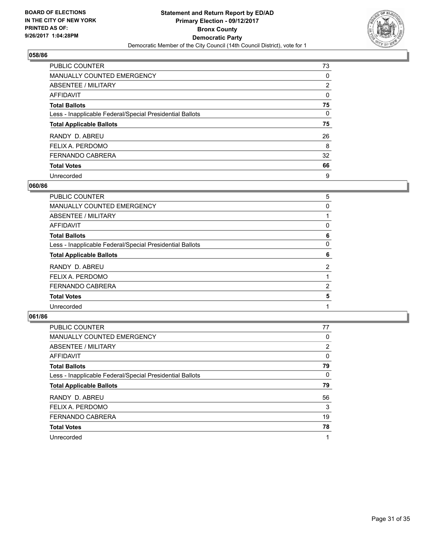

| <b>PUBLIC COUNTER</b>                                    | 73             |
|----------------------------------------------------------|----------------|
| <b>MANUALLY COUNTED EMERGENCY</b>                        | 0              |
| ABSENTEE / MILITARY                                      | $\overline{2}$ |
| AFFIDAVIT                                                | 0              |
| <b>Total Ballots</b>                                     | 75             |
| Less - Inapplicable Federal/Special Presidential Ballots | 0              |
| <b>Total Applicable Ballots</b>                          | 75             |
| RANDY D. ABREU                                           | 26             |
| FELIX A. PERDOMO                                         | 8              |
| <b>FERNANDO CABRERA</b>                                  | 32             |
| <b>Total Votes</b>                                       | 66             |
| Unrecorded                                               | 9              |

#### **060/86**

| <b>PUBLIC COUNTER</b>                                    | 5 |
|----------------------------------------------------------|---|
| MANUALLY COUNTED EMERGENCY                               | 0 |
| ABSENTEE / MILITARY                                      |   |
| AFFIDAVIT                                                | 0 |
| <b>Total Ballots</b>                                     | 6 |
| Less - Inapplicable Federal/Special Presidential Ballots | 0 |
| <b>Total Applicable Ballots</b>                          | 6 |
| RANDY D. ABREU                                           | 2 |
| FELIX A. PERDOMO                                         |   |
| <b>FERNANDO CABRERA</b>                                  | 2 |
| <b>Total Votes</b>                                       | 5 |
| Unrecorded                                               |   |
|                                                          |   |

| <b>PUBLIC COUNTER</b>                                    | 77 |
|----------------------------------------------------------|----|
| <b>MANUALLY COUNTED EMERGENCY</b>                        | 0  |
| ABSENTEE / MILITARY                                      | 2  |
| AFFIDAVIT                                                | 0  |
| <b>Total Ballots</b>                                     | 79 |
| Less - Inapplicable Federal/Special Presidential Ballots | 0  |
| <b>Total Applicable Ballots</b>                          | 79 |
| RANDY D. ABREU                                           | 56 |
| FELIX A. PERDOMO                                         | 3  |
| <b>FERNANDO CABRERA</b>                                  | 19 |
| <b>Total Votes</b>                                       | 78 |
| Unrecorded                                               |    |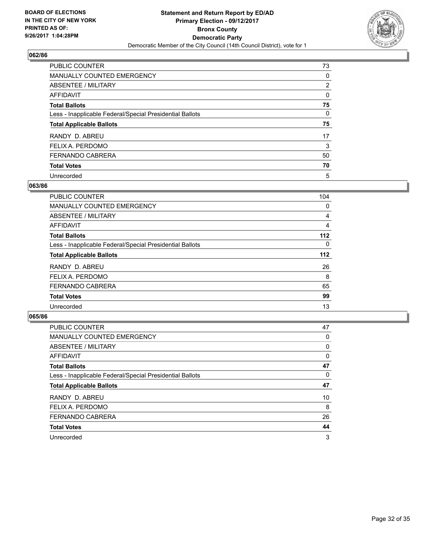

| <b>PUBLIC COUNTER</b>                                    | 73             |
|----------------------------------------------------------|----------------|
| <b>MANUALLY COUNTED EMERGENCY</b>                        | 0              |
| ABSENTEE / MILITARY                                      | $\overline{2}$ |
| AFFIDAVIT                                                | 0              |
| <b>Total Ballots</b>                                     | 75             |
| Less - Inapplicable Federal/Special Presidential Ballots | 0              |
| <b>Total Applicable Ballots</b>                          | 75             |
| RANDY D. ABREU                                           | 17             |
| FELIX A. PERDOMO                                         | 3              |
| <b>FERNANDO CABRERA</b>                                  | 50             |
| <b>Total Votes</b>                                       | 70             |
| Unrecorded                                               | 5              |

#### **063/86**

| PUBLIC COUNTER                                           | 104      |
|----------------------------------------------------------|----------|
| <b>MANUALLY COUNTED EMERGENCY</b>                        | 0        |
| ABSENTEE / MILITARY                                      | 4        |
| <b>AFFIDAVIT</b>                                         | 4        |
| <b>Total Ballots</b>                                     | 112      |
| Less - Inapplicable Federal/Special Presidential Ballots | $\Omega$ |
| <b>Total Applicable Ballots</b>                          | $112$    |
| RANDY D. ABREU                                           | 26       |
| FELIX A. PERDOMO                                         | 8        |
| <b>FERNANDO CABRERA</b>                                  | 65       |
| <b>Total Votes</b>                                       | 99       |
| Unrecorded                                               | 13       |

| <b>PUBLIC COUNTER</b>                                    | 47 |
|----------------------------------------------------------|----|
| <b>MANUALLY COUNTED EMERGENCY</b>                        | 0  |
| ABSENTEE / MILITARY                                      | 0  |
| AFFIDAVIT                                                | 0  |
| <b>Total Ballots</b>                                     | 47 |
| Less - Inapplicable Federal/Special Presidential Ballots | 0  |
| <b>Total Applicable Ballots</b>                          | 47 |
| RANDY D. ABREU                                           | 10 |
| FELIX A. PERDOMO                                         | 8  |
| <b>FERNANDO CABRERA</b>                                  | 26 |
| <b>Total Votes</b>                                       | 44 |
| Unrecorded                                               | 3  |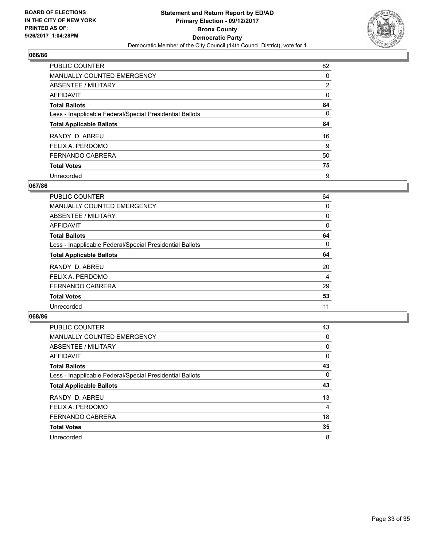

| <b>PUBLIC COUNTER</b>                                    | 82             |
|----------------------------------------------------------|----------------|
| <b>MANUALLY COUNTED EMERGENCY</b>                        | 0              |
| ABSENTEE / MILITARY                                      | $\overline{2}$ |
| AFFIDAVIT                                                | 0              |
| <b>Total Ballots</b>                                     | 84             |
| Less - Inapplicable Federal/Special Presidential Ballots | 0              |
| <b>Total Applicable Ballots</b>                          | 84             |
| RANDY D. ABREU                                           | 16             |
| FELIX A. PERDOMO                                         | 9              |
| <b>FERNANDO CABRERA</b>                                  | 50             |
| <b>Total Votes</b>                                       | 75             |
| Unrecorded                                               | 9              |

#### **067/86**

| <b>PUBLIC COUNTER</b>                                    | 64 |
|----------------------------------------------------------|----|
| <b>MANUALLY COUNTED EMERGENCY</b>                        | 0  |
| ABSENTEE / MILITARY                                      | 0  |
| AFFIDAVIT                                                | 0  |
| <b>Total Ballots</b>                                     | 64 |
| Less - Inapplicable Federal/Special Presidential Ballots | 0  |
| <b>Total Applicable Ballots</b>                          | 64 |
| RANDY D. ABREU                                           | 20 |
| FELIX A. PERDOMO                                         | 4  |
| <b>FERNANDO CABRERA</b>                                  | 29 |
| <b>Total Votes</b>                                       | 53 |
| Unrecorded                                               | 11 |
|                                                          |    |

| <b>PUBLIC COUNTER</b>                                    | 43 |
|----------------------------------------------------------|----|
| <b>MANUALLY COUNTED EMERGENCY</b>                        | 0  |
| ABSENTEE / MILITARY                                      | 0  |
| AFFIDAVIT                                                | 0  |
| <b>Total Ballots</b>                                     | 43 |
| Less - Inapplicable Federal/Special Presidential Ballots | 0  |
| <b>Total Applicable Ballots</b>                          | 43 |
| RANDY D. ABREU                                           | 13 |
| FELIX A. PERDOMO                                         | 4  |
| <b>FERNANDO CABRERA</b>                                  | 18 |
| <b>Total Votes</b>                                       | 35 |
| Unrecorded                                               | 8  |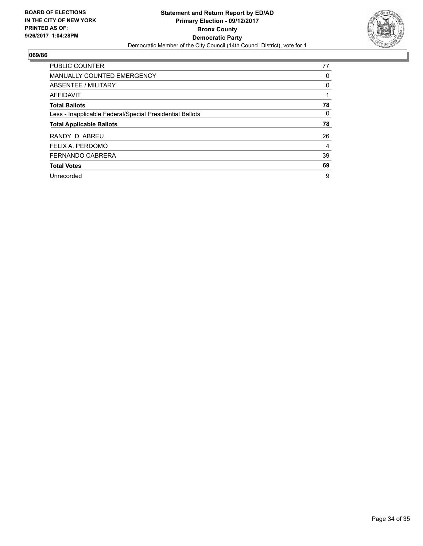

| <b>PUBLIC COUNTER</b>                                    | 77 |
|----------------------------------------------------------|----|
| <b>MANUALLY COUNTED EMERGENCY</b>                        | 0  |
| ABSENTEE / MILITARY                                      | 0  |
| <b>AFFIDAVIT</b>                                         |    |
| <b>Total Ballots</b>                                     | 78 |
| Less - Inapplicable Federal/Special Presidential Ballots | 0  |
| <b>Total Applicable Ballots</b>                          | 78 |
| RANDY D. ABREU                                           | 26 |
| FELIX A. PERDOMO                                         | 4  |
| <b>FERNANDO CABRERA</b>                                  | 39 |
| <b>Total Votes</b>                                       | 69 |
| Unrecorded                                               | 9  |